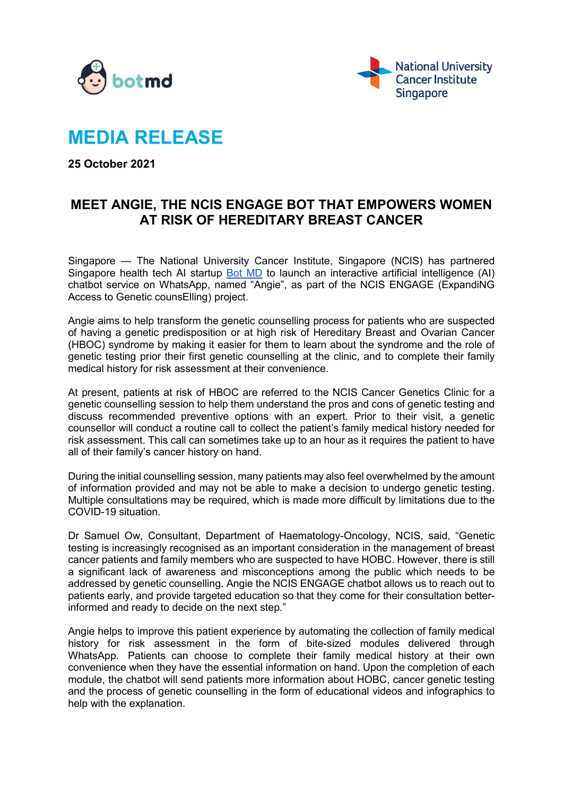



# **MEDIA RELEASE**

**25 October 2021**

# **MEET ANGIE, THE NCIS ENGAGE BOT THAT EMPOWERS WOMEN AT RISK OF HEREDITARY BREAST CANCER**

Singapore — The National University Cancer Institute, Singapore (NCIS) has partnered Singapore health tech AI startup [Bot MD](https://www.linkedin.com/company/botmd) to launch an interactive artificial intelligence (AI) chatbot service on WhatsApp, named "Angie", as part of the NCIS ENGAGE (ExpandiNG Access to Genetic counsElling) project.

Angie aims to help transform the genetic counselling process for patients who are suspected of having a genetic predisposition or at high risk of Hereditary Breast and Ovarian Cancer (HBOC) syndrome by making it easier for them to learn about the syndrome and the role of genetic testing prior their first genetic counselling at the clinic, and to complete their family medical history for risk assessment at their convenience.

At present, patients at risk of HBOC are referred to the NCIS Cancer Genetics Clinic for a genetic counselling session to help them understand the pros and cons of genetic testing and discuss recommended preventive options with an expert. Prior to their visit, a genetic counsellor will conduct a routine call to collect the patient's family medical history needed for risk assessment. This call can sometimes take up to an hour as it requires the patient to have all of their family's cancer history on hand.

During the initial counselling session, many patients may also feel overwhelmed by the amount of information provided and may not be able to make a decision to undergo genetic testing. Multiple consultations may be required, which is made more difficult by limitations due to the COVID-19 situation.

Dr Samuel Ow, Consultant, Department of Haematology-Oncology, NCIS, said, "Genetic testing is increasingly recognised as an important consideration in the management of breast cancer patients and family members who are suspected to have HOBC. However, there is still a significant lack of awareness and misconceptions among the public which needs to be addressed by genetic counselling. Angie the NCIS ENGAGE chatbot allows us to reach out to patients early, and provide targeted education so that they come for their consultation betterinformed and ready to decide on the next step."

Angie helps to improve this patient experience by automating the collection of family medical history for risk assessment in the form of bite-sized modules delivered through WhatsApp. Patients can choose to complete their family medical history at their own convenience when they have the essential information on hand. Upon the completion of each module, the chatbot will send patients more information about HOBC, cancer genetic testing and the process of genetic counselling in the form of educational videos and infographics to help with the explanation.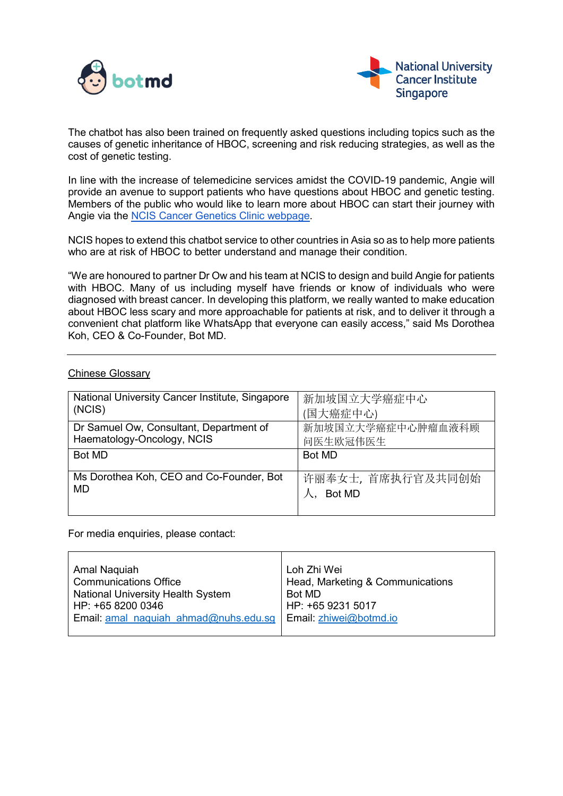



The chatbot has also been trained on frequently asked questions including topics such as the causes of genetic inheritance of HBOC, screening and risk reducing strategies, as well as the cost of genetic testing.

In line with the increase of telemedicine services amidst the COVID-19 pandemic, Angie will provide an avenue to support patients who have questions about HBOC and genetic testing. Members of the public who would like to learn more about HBOC can start their journey with Angie via the [NCIS Cancer Genetics Clinic webpage.](https://www.ncis.com.sg/Our-Services/Specialties/Pages/Cancer-Risk-Assessment-and-Genetics-Clinic.aspx)

NCIS hopes to extend this chatbot service to other countries in Asia so as to help more patients who are at risk of HBOC to better understand and manage their condition.

"We are honoured to partner Dr Ow and his team at NCIS to design and build Angie for patients with HBOC. Many of us including myself have friends or know of individuals who were diagnosed with breast cancer. In developing this platform, we really wanted to make education about HBOC less scary and more approachable for patients at risk, and to deliver it through a convenient chat platform like WhatsApp that everyone can easily access," said Ms Dorothea Koh, CEO & Co-Founder, Bot MD.

| National University Cancer Institute, Singapore | 新加坡国立大学癌症中心       |
|-------------------------------------------------|-------------------|
| (NCIS)                                          | (国大癌症中心)          |
| Dr Samuel Ow, Consultant, Department of         | 新加坡国立大学癌症中心肿瘤血液科顾 |
| Haematology-Oncology, NCIS                      | 问医生欧冠伟医生          |
| Bot MD                                          | Bot MD            |
|                                                 |                   |
| Ms Dorothea Koh, CEO and Co-Founder, Bot        | 许丽奉女士, 首席执行官及共同创始 |
| MD                                              | Bot MD            |
|                                                 |                   |

## Chinese Glossary

For media enquiries, please contact:

| Amal Naquiah                                                 | Loh Zhi Wei                      |
|--------------------------------------------------------------|----------------------------------|
| <b>Communications Office</b>                                 | Head, Marketing & Communications |
| <b>National University Health System</b>                     | Bot MD                           |
| HP: +65 8200 0346                                            | HP: +65 9231 5017                |
| Email: amal_naquiah_ahmad@nuhs.edu.sg Email: zhiwei@botmd.io |                                  |
|                                                              |                                  |